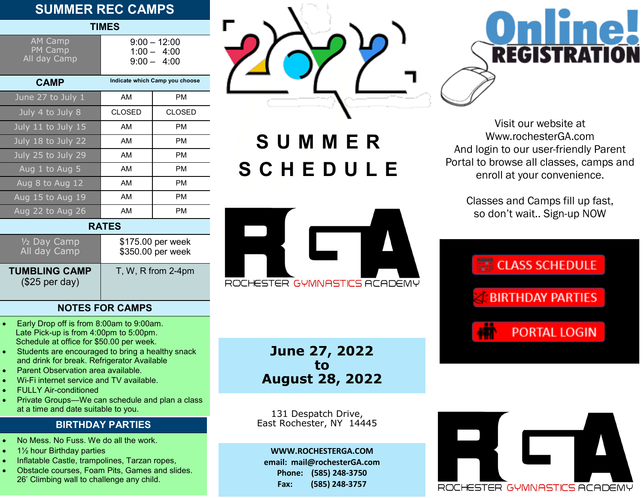# **SUMMER REC CAMPS**

| SUMMER REC CAMPS                          |                                                  |                                        |  |  |
|-------------------------------------------|--------------------------------------------------|----------------------------------------|--|--|
| <b>TIMES</b>                              |                                                  |                                        |  |  |
| <b>AM Camp</b><br>PM Camp<br>All day Camp | $9:00 - 12:00$<br>$1:00 - 4:00$<br>$9:00 - 4:00$ |                                        |  |  |
| <b>CAMP</b>                               |                                                  | Indicate which Camp you choose         |  |  |
| June 27 to July 1                         | AM                                               | PМ                                     |  |  |
| July 4 to July 8                          | <b>CLOSED</b>                                    | <b>CLOSED</b>                          |  |  |
| July 11 to July 15                        | AM                                               | <b>PM</b>                              |  |  |
| July 18 to July 22                        | AM                                               | <b>PM</b>                              |  |  |
| July 25 to July 29                        | AM                                               | <b>PM</b>                              |  |  |
| Aug 1 to Aug 5                            | AM                                               | PM                                     |  |  |
| Aug 8 to Aug 12                           | AM                                               | <b>PM</b>                              |  |  |
| Aug 15 to Aug 19                          | AM                                               | <b>PM</b>                              |  |  |
| Aug 22 to Aug 26                          | AM                                               | <b>PM</b>                              |  |  |
| <b>RATES</b>                              |                                                  |                                        |  |  |
| 1/2 Day Camp<br>All day Camp              |                                                  | \$175.00 per week<br>\$350.00 per week |  |  |



**S U M M E RS C H E D U L E**



**June 27, 2022 to August 28, 2022**

131 Despatch Drive, East Rochester, NY 14445

**WWW.ROCHESTERGA.COM email: mail@rochesterGA.com Phone: (585) 248-3750 Fax: (585) 248-3757**



Visit our website at Www.rochesterGA.com And login to our user-friendly Parent Portal to browse all classes, camps and enroll at your convenience.

> Classes and Camps fill up fast, so don't wait.. Sign-up NOW





• Early Drop off is from 8:00am to 9:00am.

**NOTES FOR CAMPS**

T, W, R from 2-4pm

- Late Pick-up is from 4:00pm to 5:00pm. Schedule at office for \$50.00 per week.
- Students are encouraged to bring a healthy snack and drink for break. Refrigerator Available
- Parent Observation area available.
- Wi-Fi internet service and TV available.
- FULLY Air-conditioned

**TUMBLING CAMP** (\$25 per day)

• Private Groups—We can schedule and plan a class at a time and date suitable to you.

## **BIRTHDAY PARTIES**

- No Mess. No Fuss. We do all the work.
- 1½ hour Birthday parties
- Inflatable Castle, trampolines, Tarzan ropes,
- Obstacle courses, Foam Pits, Games and slides. 26' Climbing wall to challenge any child.